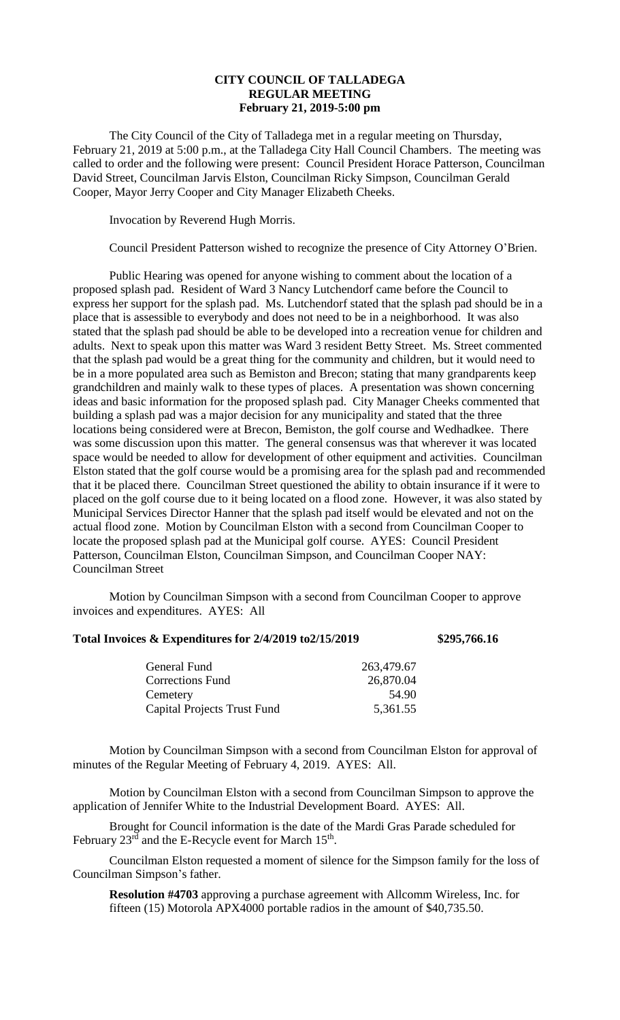## **CITY COUNCIL OF TALLADEGA REGULAR MEETING February 21, 2019-5:00 pm**

The City Council of the City of Talladega met in a regular meeting on Thursday, February 21, 2019 at 5:00 p.m., at the Talladega City Hall Council Chambers. The meeting was called to order and the following were present: Council President Horace Patterson, Councilman David Street, Councilman Jarvis Elston, Councilman Ricky Simpson, Councilman Gerald Cooper, Mayor Jerry Cooper and City Manager Elizabeth Cheeks.

Invocation by Reverend Hugh Morris.

Council President Patterson wished to recognize the presence of City Attorney O'Brien.

Public Hearing was opened for anyone wishing to comment about the location of a proposed splash pad. Resident of Ward 3 Nancy Lutchendorf came before the Council to express her support for the splash pad. Ms. Lutchendorf stated that the splash pad should be in a place that is assessible to everybody and does not need to be in a neighborhood. It was also stated that the splash pad should be able to be developed into a recreation venue for children and adults. Next to speak upon this matter was Ward 3 resident Betty Street. Ms. Street commented that the splash pad would be a great thing for the community and children, but it would need to be in a more populated area such as Bemiston and Brecon; stating that many grandparents keep grandchildren and mainly walk to these types of places. A presentation was shown concerning ideas and basic information for the proposed splash pad. City Manager Cheeks commented that building a splash pad was a major decision for any municipality and stated that the three locations being considered were at Brecon, Bemiston, the golf course and Wedhadkee. There was some discussion upon this matter. The general consensus was that wherever it was located space would be needed to allow for development of other equipment and activities. Councilman Elston stated that the golf course would be a promising area for the splash pad and recommended that it be placed there. Councilman Street questioned the ability to obtain insurance if it were to placed on the golf course due to it being located on a flood zone. However, it was also stated by Municipal Services Director Hanner that the splash pad itself would be elevated and not on the actual flood zone. Motion by Councilman Elston with a second from Councilman Cooper to locate the proposed splash pad at the Municipal golf course. AYES: Council President Patterson, Councilman Elston, Councilman Simpson, and Councilman Cooper NAY: Councilman Street

Motion by Councilman Simpson with a second from Councilman Cooper to approve invoices and expenditures. AYES: All

## **Total Invoices & Expenditures for 2/4/2019 to2/15/2019 \$295,766.16**

| General Fund                       | 263,479.67 |
|------------------------------------|------------|
| <b>Corrections Fund</b>            | 26,870.04  |
| Cemetery                           | 54.90      |
| <b>Capital Projects Trust Fund</b> | 5,361.55   |
|                                    |            |

Motion by Councilman Simpson with a second from Councilman Elston for approval of minutes of the Regular Meeting of February 4, 2019. AYES: All.

Motion by Councilman Elston with a second from Councilman Simpson to approve the application of Jennifer White to the Industrial Development Board. AYES: All.

Brought for Council information is the date of the Mardi Gras Parade scheduled for February  $23<sup>rd</sup>$  and the E-Recycle event for March  $15<sup>th</sup>$ .

Councilman Elston requested a moment of silence for the Simpson family for the loss of Councilman Simpson's father.

**Resolution #4703** approving a purchase agreement with Allcomm Wireless, Inc. for fifteen (15) Motorola APX4000 portable radios in the amount of \$40,735.50.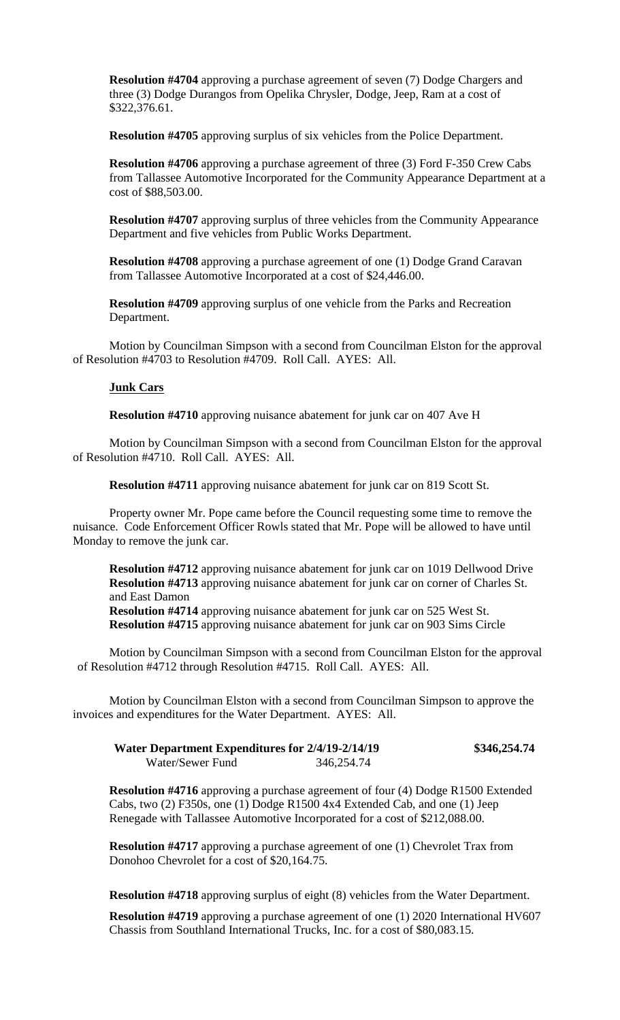**Resolution #4704** approving a purchase agreement of seven (7) Dodge Chargers and three (3) Dodge Durangos from Opelika Chrysler, Dodge, Jeep, Ram at a cost of \$322,376.61.

**Resolution #4705** approving surplus of six vehicles from the Police Department.

**Resolution #4706** approving a purchase agreement of three (3) Ford F-350 Crew Cabs from Tallassee Automotive Incorporated for the Community Appearance Department at a cost of \$88,503.00.

**Resolution #4707** approving surplus of three vehicles from the Community Appearance Department and five vehicles from Public Works Department.

**Resolution #4708** approving a purchase agreement of one (1) Dodge Grand Caravan from Tallassee Automotive Incorporated at a cost of \$24,446.00.

**Resolution #4709** approving surplus of one vehicle from the Parks and Recreation Department.

Motion by Councilman Simpson with a second from Councilman Elston for the approval of Resolution #4703 to Resolution #4709. Roll Call. AYES: All.

## **Junk Cars**

**Resolution #4710** approving nuisance abatement for junk car on 407 Ave H

Motion by Councilman Simpson with a second from Councilman Elston for the approval of Resolution #4710. Roll Call. AYES: All.

**Resolution #4711** approving nuisance abatement for junk car on 819 Scott St.

Property owner Mr. Pope came before the Council requesting some time to remove the nuisance. Code Enforcement Officer Rowls stated that Mr. Pope will be allowed to have until Monday to remove the junk car.

**Resolution #4712** approving nuisance abatement for junk car on 1019 Dellwood Drive **Resolution #4713** approving nuisance abatement for junk car on corner of Charles St. and East Damon **Resolution #4714** approving nuisance abatement for junk car on 525 West St.

**Resolution #4715** approving nuisance abatement for junk car on 903 Sims Circle

Motion by Councilman Simpson with a second from Councilman Elston for the approval of Resolution #4712 through Resolution #4715. Roll Call. AYES: All.

Motion by Councilman Elston with a second from Councilman Simpson to approve the invoices and expenditures for the Water Department. AYES: All.

| Water Department Expenditures for 2/4/19-2/14/19 |            | \$346,254.74 |
|--------------------------------------------------|------------|--------------|
| Water/Sewer Fund                                 | 346,254.74 |              |

**Resolution #4716** approving a purchase agreement of four (4) Dodge R1500 Extended Cabs, two (2) F350s, one (1) Dodge R1500 4x4 Extended Cab, and one (1) Jeep Renegade with Tallassee Automotive Incorporated for a cost of \$212,088.00.

**Resolution #4717** approving a purchase agreement of one (1) Chevrolet Trax from Donohoo Chevrolet for a cost of \$20,164.75.

**Resolution #4718** approving surplus of eight (8) vehicles from the Water Department.

**Resolution #4719** approving a purchase agreement of one (1) 2020 International HV607 Chassis from Southland International Trucks, Inc. for a cost of \$80,083.15.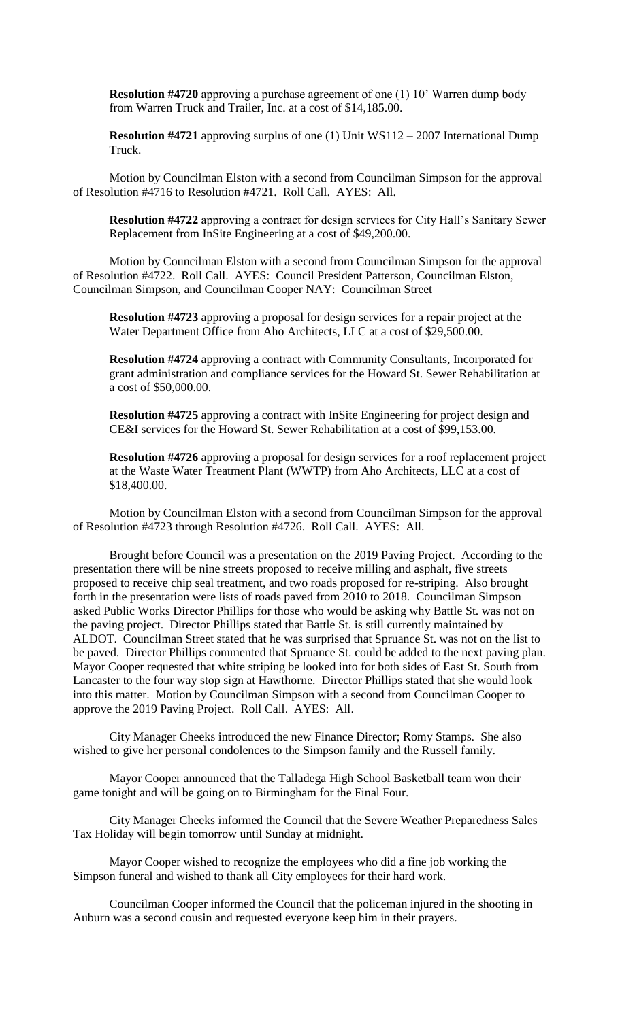**Resolution #4720** approving a purchase agreement of one (1) 10' Warren dump body from Warren Truck and Trailer, Inc. at a cost of \$14,185.00.

**Resolution #4721** approving surplus of one (1) Unit WS112 – 2007 International Dump Truck.

Motion by Councilman Elston with a second from Councilman Simpson for the approval of Resolution #4716 to Resolution #4721. Roll Call. AYES: All.

**Resolution #4722** approving a contract for design services for City Hall's Sanitary Sewer Replacement from InSite Engineering at a cost of \$49,200.00.

Motion by Councilman Elston with a second from Councilman Simpson for the approval of Resolution #4722. Roll Call. AYES: Council President Patterson, Councilman Elston, Councilman Simpson, and Councilman Cooper NAY: Councilman Street

**Resolution #4723** approving a proposal for design services for a repair project at the Water Department Office from Aho Architects, LLC at a cost of \$29,500.00.

**Resolution #4724** approving a contract with Community Consultants, Incorporated for grant administration and compliance services for the Howard St. Sewer Rehabilitation at a cost of \$50,000.00.

**Resolution #4725** approving a contract with InSite Engineering for project design and CE&I services for the Howard St. Sewer Rehabilitation at a cost of \$99,153.00.

**Resolution #4726** approving a proposal for design services for a roof replacement project at the Waste Water Treatment Plant (WWTP) from Aho Architects, LLC at a cost of \$18,400.00.

Motion by Councilman Elston with a second from Councilman Simpson for the approval of Resolution #4723 through Resolution #4726. Roll Call. AYES: All.

Brought before Council was a presentation on the 2019 Paving Project. According to the presentation there will be nine streets proposed to receive milling and asphalt, five streets proposed to receive chip seal treatment, and two roads proposed for re-striping. Also brought forth in the presentation were lists of roads paved from 2010 to 2018. Councilman Simpson asked Public Works Director Phillips for those who would be asking why Battle St. was not on the paving project. Director Phillips stated that Battle St. is still currently maintained by ALDOT. Councilman Street stated that he was surprised that Spruance St. was not on the list to be paved. Director Phillips commented that Spruance St. could be added to the next paving plan. Mayor Cooper requested that white striping be looked into for both sides of East St. South from Lancaster to the four way stop sign at Hawthorne. Director Phillips stated that she would look into this matter. Motion by Councilman Simpson with a second from Councilman Cooper to approve the 2019 Paving Project. Roll Call. AYES: All.

City Manager Cheeks introduced the new Finance Director; Romy Stamps. She also wished to give her personal condolences to the Simpson family and the Russell family.

Mayor Cooper announced that the Talladega High School Basketball team won their game tonight and will be going on to Birmingham for the Final Four.

City Manager Cheeks informed the Council that the Severe Weather Preparedness Sales Tax Holiday will begin tomorrow until Sunday at midnight.

Mayor Cooper wished to recognize the employees who did a fine job working the Simpson funeral and wished to thank all City employees for their hard work.

Councilman Cooper informed the Council that the policeman injured in the shooting in Auburn was a second cousin and requested everyone keep him in their prayers.